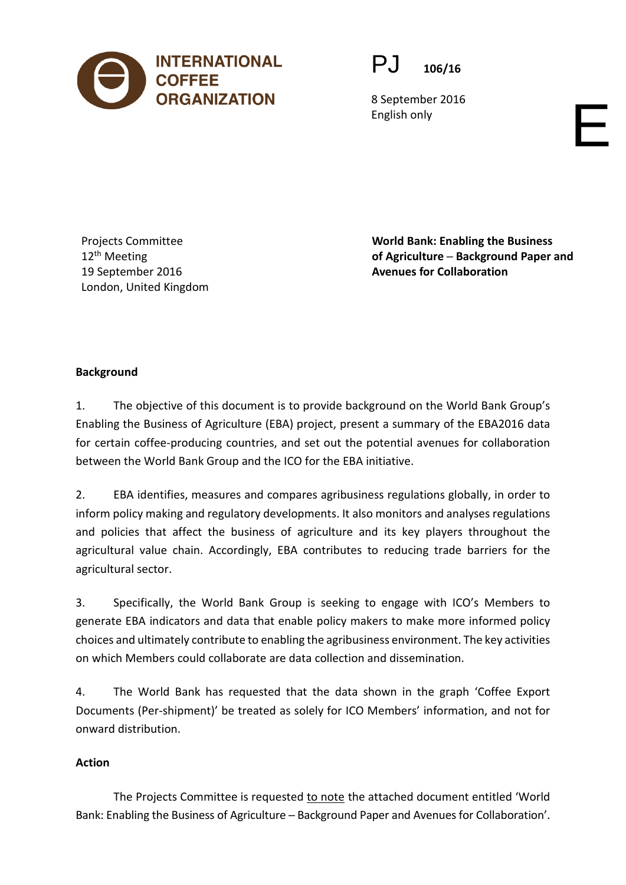



8 September 2016 English only

Projects Committee 12<sup>th</sup> Meeting 19 September 2016 London, United Kingdom **World Bank: Enabling the Business of Agriculture ─ Background Paper and Avenues for Collaboration** 

# **Background**

1. The objective of this document is to provide background on the World Bank Group's Enabling the Business of Agriculture (EBA) project, present a summary of the EBA2016 data for certain coffee-producing countries, and set out the potential avenues for collaboration between the World Bank Group and the ICO for the EBA initiative.

2. EBA identifies, measures and compares agribusiness regulations globally, in order to inform policy making and regulatory developments. It also monitors and analyses regulations and policies that affect the business of agriculture and its key players throughout the agricultural value chain. Accordingly, EBA contributes to reducing trade barriers for the agricultural sector.

3. Specifically, the World Bank Group is seeking to engage with ICO's Members to generate EBA indicators and data that enable policy makers to make more informed policy choices and ultimately contribute to enabling the agribusiness environment. The key activities on which Members could collaborate are data collection and dissemination.

4. The World Bank has requested that the data shown in the graph 'Coffee Export Documents (Per-shipment)' be treated as solely for ICO Members' information, and not for onward distribution.

## **Action**

The Projects Committee is requested to note the attached document entitled 'World Bank: Enabling the Business of Agriculture - Background Paper and Avenues for Collaboration'.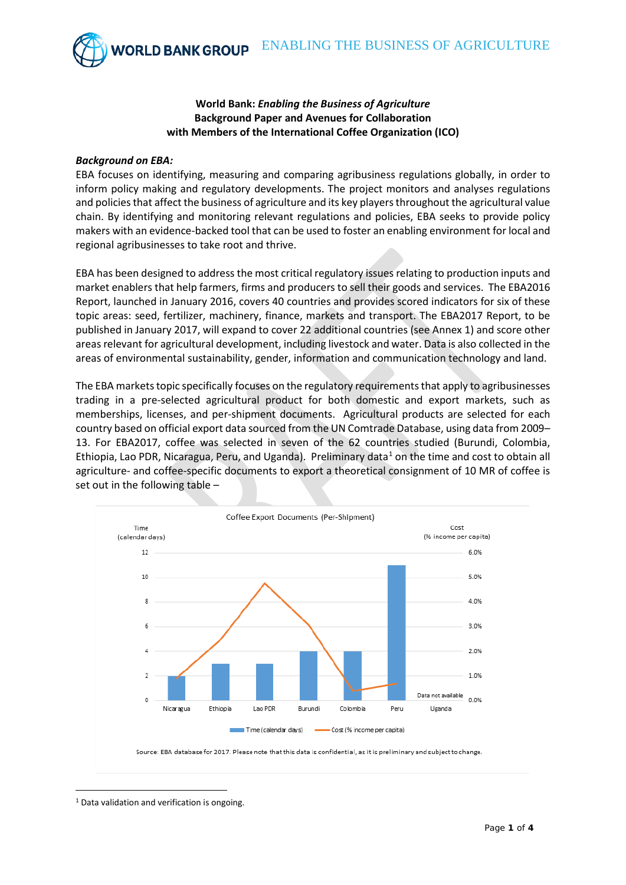### **World Bank:** *Enabling the Business of Agriculture* **Background Paper and Avenues for Collaboration with Members of the International Coffee Organization (ICO)**

### *Background on EBA:*

EBA focuses on identifying, measuring and comparing agribusiness regulations globally, in order to inform policy making and regulatory developments. The project monitors and analyses regulations and policies that affect the business of agriculture and its key players throughout the agricultural value chain. By identifying and monitoring relevant regulations and policies, EBA seeks to provide policy makers with an evidence-backed tool that can be used to foster an enabling environment for local and regional agribusinesses to take root and thrive.

EBA has been designed to address the most critical regulatory issues relating to production inputs and market enablers that help farmers, firms and producers to sell their goods and services. The EBA2016 Report, launched in January 2016, covers 40 countries and provides scored indicators for six of these topic areas: seed, fertilizer, machinery, finance, markets and transport. The EBA2017 Report, to be published in January 2017, will expand to cover 22 additional countries (see Annex 1) and score other areas relevant for agricultural development, including livestock and water. Data is also collected in the areas of environmental sustainability, gender, information and communication technology and land.

The EBA markets topic specifically focuses on the regulatory requirements that apply to agribusinesses trading in a pre-selected agricultural product for both domestic and export markets, such as memberships, licenses, and per-shipment documents. Agricultural products are selected for each country based on official export data sourced from the UN Comtrade Database, using data from 2009– 13. For EBA2017, coffee was selected in seven of the 62 countries studied (Burundi, Colombia, Ethiopia, Lao PDR, Nicaragua, Peru, and Uganda). Preliminary data<sup>[1](#page-1-0)</sup> on the time and cost to obtain all agriculture- and coffee-specific documents to export a theoretical consignment of 10 MR of coffee is set out in the following table –



<span id="page-1-0"></span><sup>&</sup>lt;u>.</u> <sup>1</sup> Data validation and verification is ongoing.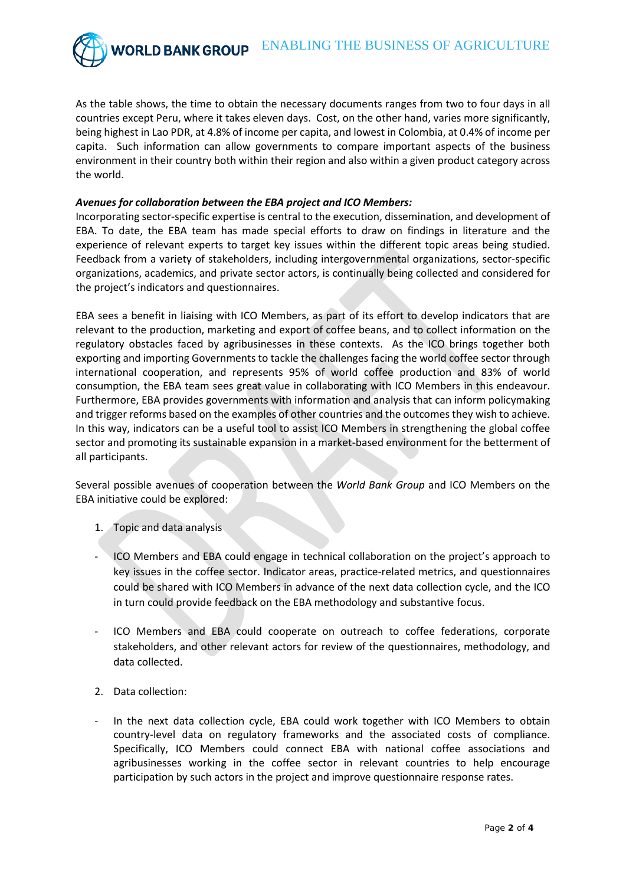As the table shows, the time to obtain the necessary documents ranges from two to four days in all countries except Peru, where it takes eleven days. Cost, on the other hand, varies more significantly, being highest in Lao PDR, at 4.8% of income per capita, and lowest in Colombia, at 0.4% of income per capita. Such information can allow governments to compare important aspects of the business environment in their country both within their region and also within a given product category across the world.

#### *Avenues for collaboration between the EBA project and ICO Members:*

Incorporating sector-specific expertise is central to the execution, dissemination, and development of EBA. To date, the EBA team has made special efforts to draw on findings in literature and the experience of relevant experts to target key issues within the different topic areas being studied. Feedback from a variety of stakeholders, including intergovernmental organizations, sector-specific organizations, academics, and private sector actors, is continually being collected and considered for the project's indicators and questionnaires.

EBA sees a benefit in liaising with ICO Members, as part of its effort to develop indicators that are relevant to the production, marketing and export of coffee beans, and to collect information on the regulatory obstacles faced by agribusinesses in these contexts. As the ICO brings together both exporting and importing Governments to tackle the challenges facing the world coffee sector through international cooperation, and represents 95% of world coffee production and 83% of world consumption, the EBA team sees great value in collaborating with ICO Members in this endeavour. Furthermore, EBA provides governments with information and analysis that can inform policymaking and trigger reforms based on the examples of other countries and the outcomes they wish to achieve. In this way, indicators can be a useful tool to assist ICO Members in strengthening the global coffee sector and promoting its sustainable expansion in a market-based environment for the betterment of all participants.

Several possible avenues of cooperation between the *World Bank Group* and ICO Members on the EBA initiative could be explored:

- 1. Topic and data analysis
- ICO Members and EBA could engage in technical collaboration on the project's approach to key issues in the coffee sector. Indicator areas, practice-related metrics, and questionnaires could be shared with ICO Members in advance of the next data collection cycle, and the ICO in turn could provide feedback on the EBA methodology and substantive focus.
- ICO Members and EBA could cooperate on outreach to coffee federations, corporate stakeholders, and other relevant actors for review of the questionnaires, methodology, and data collected.
- 2. Data collection:
- In the next data collection cycle, EBA could work together with ICO Members to obtain country-level data on regulatory frameworks and the associated costs of compliance. Specifically, ICO Members could connect EBA with national coffee associations and agribusinesses working in the coffee sector in relevant countries to help encourage participation by such actors in the project and improve questionnaire response rates.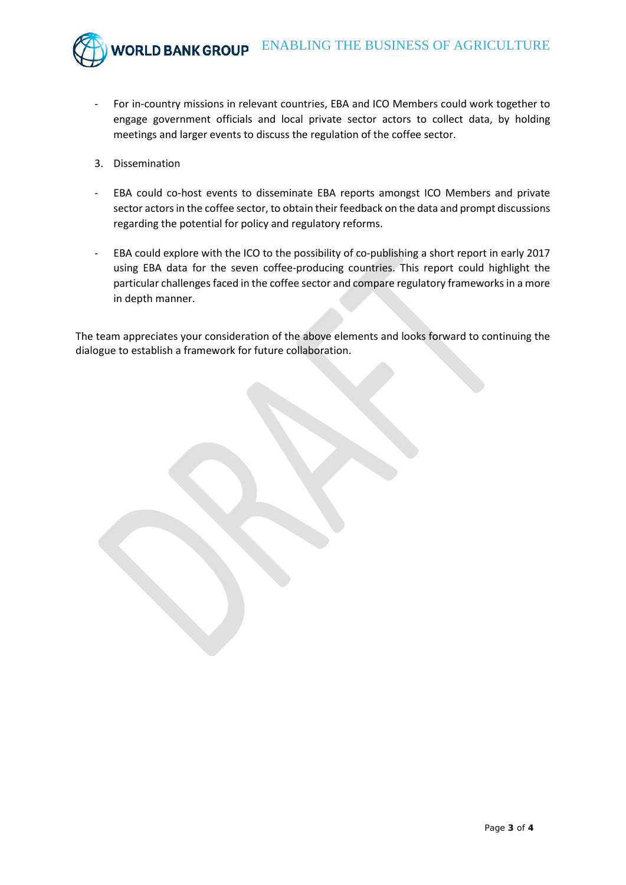

- For in-country missions in relevant countries, EBA and ICO Members could work together to engage government officials and local private sector actors to collect data, by holding meetings and larger events to discuss the regulation of the coffee sector.
- 3. Dissemination
- EBA could co-host events to disseminate EBA reports amongst ICO Members and private sector actors in the coffee sector, to obtain their feedback on the data and prompt discussions regarding the potential for policy and regulatory reforms.
- EBA could explore with the ICO to the possibility of co-publishing a short report in early 2017 using EBA data for the seven coffee-producing countries. This report could highlight the particular challenges faced in the coffee sector and compare regulatory frameworks in a more in depth manner.

The team appreciates your consideration of the above elements and looks forward to continuing the dialogue to establish a framework for future collaboration.